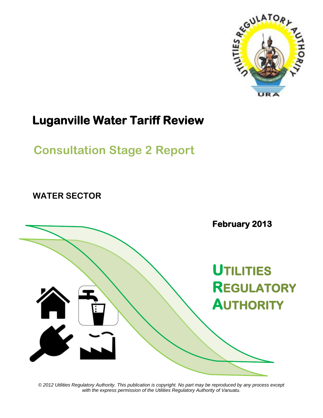

# **Luganville Water Tariff Review**

# **Consultation Stage 2 Report**

**WATER SECTOR**



*© 2012 Utilities Regulatory Authority. This publication is copyright. No part may be reproduced by any process except with the express permission of the Utilities Regulatory Authority of Vanuatu.*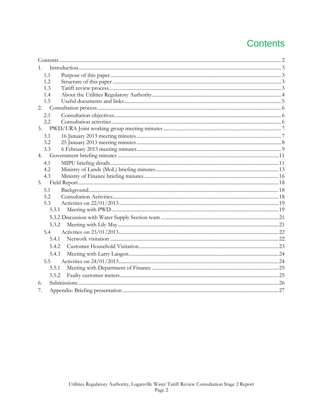## **Contents**

<span id="page-1-0"></span>

| $\mathbf{1}$ |  |
|--------------|--|
| 1.1          |  |
| 1.2          |  |
| 1.3          |  |
| 1.4          |  |
| 1.5          |  |
|              |  |
| 2.1          |  |
| 2.2          |  |
|              |  |
| 3.1          |  |
| 3.2<br>3.3   |  |
|              |  |
| 4.1          |  |
| 4.2          |  |
| 4.3          |  |
|              |  |
| 5.1          |  |
| 5.2          |  |
| 5.3          |  |
| 5.3.1        |  |
|              |  |
| 5.3.2        |  |
| 5.4          |  |
| 5.4.1        |  |
| 5.4.2        |  |
| 5.4.3        |  |
| 5.5          |  |
| 5.5.1        |  |
| 5.5.2        |  |
| 6.           |  |
| 7.           |  |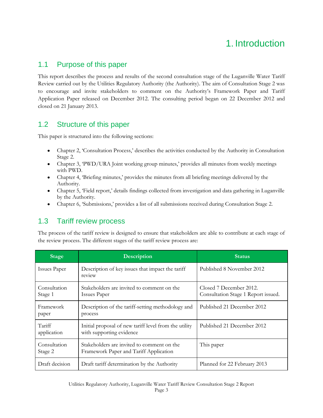## 1. Introduction

### <span id="page-2-1"></span><span id="page-2-0"></span>1.1 Purpose of this paper

This report describes the process and results of the second consultation stage of the Luganville Water Tariff Review carried out by the Utilities Regulatory Authority (the Authority). The aim of Consultation Stage 2 was to encourage and invite stakeholders to comment on the Authority's Framework Paper and Tariff Application Paper released on December 2012. The consulting period began on 22 December 2012 and closed on 21 January 2013.

### <span id="page-2-2"></span>1.2 Structure of this paper

This paper is structured into the following sections:

- $\bullet$ Chapter 2, 'Consultation Process,' describes the activities conducted by the Authority in Consultation Stage 2.
- Chapter 3, 'PWD/URA Joint working group minutes,' provides all minutes from weekly meetings with PWD.
- Chapter 4, 'Briefing minutes,' provides the minutes from all briefing meetings delivered by the  $\bullet$ Authority.
- Chapter 5, 'Field report,' details findings collected from investigation and data gathering in Luganville  $\bullet$ by the Authority.
- Chapter 6, 'Submissions,' provides a list of all submissions received during Consultation Stage 2.  $\bullet$

### <span id="page-2-3"></span>1.3 Tariff review process

The process of the tariff review is designed to ensure that stakeholders are able to contribute at each stage of the review process. The different stages of the tariff review process are:

| <b>Stage</b>            | <b>Description</b>                                                                   | <b>Status</b>                                                  |
|-------------------------|--------------------------------------------------------------------------------------|----------------------------------------------------------------|
| <b>Issues Paper</b>     | Description of key issues that impact the tariff<br>review                           | Published 8 November 2012                                      |
| Consultation<br>Stage 1 | Stakeholders are invited to comment on the<br>Issues Paper                           | Closed 7 December 2012.<br>Consultation Stage 1 Report issued. |
| Framework<br>paper      | Description of the tariff-setting methodology and<br>process                         | Published 21 December 2012                                     |
| Tariff<br>application   | Initial proposal of new tariff level from the utility<br>with supporting evidence    | Published 21 December 2012                                     |
| Consultation<br>Stage 2 | Stakeholders are invited to comment on the<br>Framework Paper and Tariff Application | This paper                                                     |
| Draft decision          | Draft tariff determination by the Authority                                          | Planned for 22 February 2013                                   |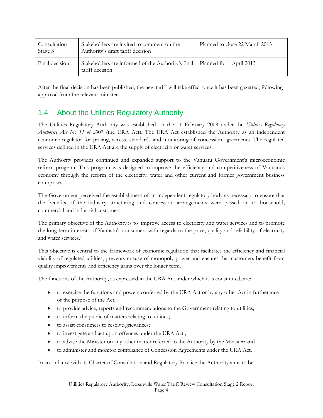| Consultation<br>Stage 3 | Stakeholders are invited to comment on the<br>Authority's draft tariff decision | Planned to close 22 March 2013 |
|-------------------------|---------------------------------------------------------------------------------|--------------------------------|
| Final decision          | Stakeholders are informed of the Authority's final<br>tariff decision           | Planned for 1 April 2013       |

After the final decision has been published, the new tariff will take effect once it has been gazetted, following approval from the relevant minister.

### <span id="page-3-0"></span>1.4 About the Utilities Regulatory Authority

The Utilities Regulatory Authority was established on the 11 February 2008 under the *Utilities Regulatory Authority Act No 11 of 20*07 (the URA Act). The URA Act established the Authority as an independent economic regulator for pricing, access, standards and monitoring of concession agreements. The regulated services defined in the URA Act are the supply of electricity or water services.

The Authority provides continued and expanded support to the Vanuatu Government's microeconomic reform program. This program was designed to improve the efficiency and competitiveness of Vanuatu's economy through the reform of the electricity, water and other current and former government business enterprises.

The Government perceived the establishment of an independent regulatory body as necessary to ensure that the benefits of the industry structuring and concession arrangements were passed on to household, commercial and industrial customers.

The primary objective of the Authority is to 'improve access to electricity and water services and to promote the long-term interests of Vanuatu's consumers with regards to the price, quality and reliability of electricity and water services.'

This objective is central to the framework of economic regulation that facilitates the efficiency and financial viability of regulated utilities, prevents misuse of monopoly power and ensures that customers benefit from quality improvements and efficiency gains over the longer term.

The functions of the Authority, as expressed in the URA Act under which it is constituted, are:

- to exercise the functions and powers conferred by the URA Act or by any other Act in furtherance of the purpose of the Act;
- to provide advice, reports and recommendations to the Government relating to utilities;  $\bullet$
- to inform the public of matters relating to utilities;  $\bullet$
- $\bullet$ to assist consumers to resolve grievances;
- $\bullet$ to investigate and act upon offences under the URA Act ;
- $\bullet$ to advise the Minister on any other matter referred to the Authority by the Minister; and
- $\bullet$ to administer and monitor compliance of Concession Agreements under the URA Act.

In accordance with its Charter of Consultation and Regulatory Practice the Authority aims to be: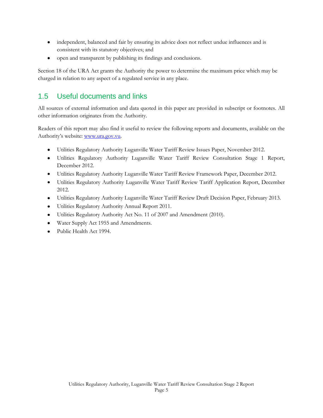- independent, balanced and fair by ensuring its advice does not reflect undue influences and is  $\bullet$ consistent with its statutory objectives; and
- open and transparent by publishing its findings and conclusions.  $\bullet$

Section 18 of the URA Act grants the Authority the power to determine the maximum price which may be charged in relation to any aspect of a regulated service in any place.

### <span id="page-4-0"></span>1.5 Useful documents and links

All sources of external information and data quoted in this paper are provided in subscript or footnotes. All other information originates from the Authority.

Readers of this report may also find it useful to review the following reports and documents, available on the Authority's website: www.ura.gov.vu.

- Utilities Regulatory Authority Luganville Water Tariff Review Issues Paper, November 2012.  $\bullet$
- Utilities Regulatory Authority Luganville Water Tariff Review Consultation Stage 1 Report,  $\bullet$ December 2012.
- Utilities Regulatory Authority Luganville Water Tariff Review Framework Paper, December 2012.
- $\bullet$ Utilities Regulatory Authority Luganville Water Tariff Review Tariff Application Report, December 2012.
- Utilities Regulatory Authority Luganville Water Tariff Review Draft Decision Paper, February 2013.
- Utilities Regulatory Authority Annual Report 2011.  $\bullet$
- Utilities Regulatory Authority Act No. 11 of 2007 and Amendment (2010).  $\bullet$
- $\bullet$ Water Supply Act 1955 and Amendments.
- Public Health Act 1994.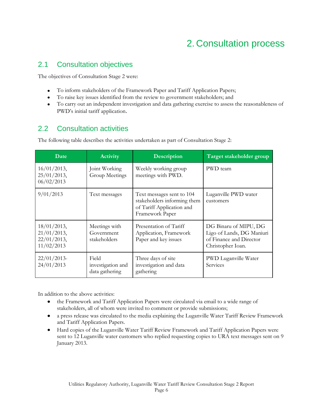## 2. Consultation process

### <span id="page-5-1"></span><span id="page-5-0"></span>2.1 Consultation objectives

The objectives of Consultation Stage 2 were:

- To inform stakeholders of the Framework Paper and Tariff Application Papers;  $\bullet$
- To raise key issues identified from the review to government stakeholders; and
- $\bullet$ To carry out an independent investigation and data gathering exercise to assess the reasonableness of PWD's initial tariff application.

### <span id="page-5-2"></span>2.2 Consultation activities

The following table describes the activities undertaken as part of Consultation Stage 2:

| Date                                                             | <b>Activity</b>                              | <b>Description</b>                                                                                       | Target stakeholder group                                                                           |
|------------------------------------------------------------------|----------------------------------------------|----------------------------------------------------------------------------------------------------------|----------------------------------------------------------------------------------------------------|
| $16/01/2013$ ,<br>$25/01/2013$ ,<br>06/02/2013                   | Joint Working<br>Group Meetings              | Weekly working group<br>meetings with PWD.                                                               | PWD team                                                                                           |
| 9/01/2013                                                        | Text messages                                | Text messages sent to 104<br>stakeholders informing them<br>of Tariff Application and<br>Framework Paper | Luganville PWD water<br>customers                                                                  |
| $18/01/2013$ ,<br>$21/01/2013$ ,<br>$22/01/2013$ ,<br>11/02/2013 | Meetings with<br>Government<br>stakeholders  | Presentation of Tariff<br>Application, Framework<br>Paper and key issues                                 | DG Binaru of MIPU, DG<br>Ligo of Lands, DG Maniuri<br>of Finance and Director<br>Christopher Ioan. |
| $22/01/2013$ -<br>24/01/2013                                     | Field<br>investigation and<br>data gathering | Three days of site<br>investigation and data<br>gathering                                                | PWD Luganville Water<br>Services                                                                   |

In addition to the above activities:

- the Framework and Tariff Application Papers were circulated via email to a wide range of  $\bullet$ stakeholders, all of whom were invited to comment or provide submissions;
- $\bullet$ a press release was circulated to the media explaining the Luganville Water Tariff Review Framework and Tariff Application Papers.
- Hard copies of the Luganville Water Tariff Review Framework and Tariff Application Papers were  $\bullet$ sent to 12 Luganville water customers who replied requesting copies to URA text messages sent on 9 January 2013.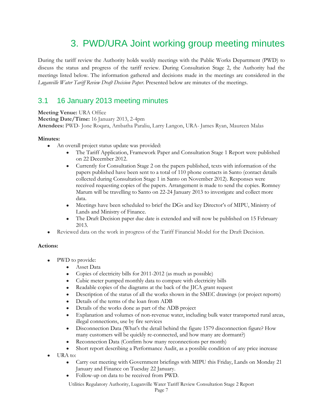## <span id="page-6-0"></span>3. PWD/URA Joint working group meeting minutes

During the tariff review the Authority holds weekly meetings with the Public Works Department (PWD) to discuss the status and progress of the tariff review. During Consultation Stage 2, the Authority had the meetings listed below. The information gathered and decisions made in the meetings are considered in the *Luganville Water Tariff Review Draft Decision Paper*. Presented below are minutes of the meetings.

### <span id="page-6-1"></span>3.1 16 January 2013 meeting minutes

**Meeting Venue:** URA Office **Meeting Date/Time:** 16 January 2013, 2-4pm **Attendees:** PWD- Jone Roqara, Ambatha Paraliu, Larry Langon, URA- James Ryan, Maureen Malas

#### **Minutes:**

- An overall project status update was provided:  $\bullet$ 
	- The Tariff Application, Framework Paper and Consultation Stage 1 Report were published  $\bullet$ on 22 December 2012.
	- Currently for Consultation Stage 2 on the papers published, texts with information of the  $\bullet$ papers published have been sent to a total of 110 phone contacts in Santo (contact details collected during Consultation Stage 1 in Santo on November 2012). Responses were received requesting copies of the papers. Arrangement is made to send the copies. Romney Marum will be travelling to Santo on 22-24 January 2013 to investigate and collect more data.
	- $\bullet$ Meetings have been scheduled to brief the DGs and key Director's of MIPU, Ministry of Lands and Ministry of Finance.
	- The Draft Decision paper due date is extended and will now be published on 15 February  $\bullet$ 2013.
- Reviewed data on the work in progress of the Tariff Financial Model for the Draft Decision.

#### **Actions:**

- $\bullet$ PWD to provide:
	- $\bullet$ Asset Data
	- Copies of electricity bills for 2011-2012 (as much as possible)  $\bullet$
	- Cubic meter pumped monthly data to compare with electricity bills  $\bullet$
	- Readable copies of the diagrams at the back of the JICA grant request  $\bullet$
	- Description of the status of all the works shown in the SMEC drawings (or project reports)  $\bullet$
	- $\bullet$ Details of the terms of the loan from ADB
	- $\bullet$ Details of the works done as part of the ADB project
	- $\bullet$ Explanation and volumes of non-revenue water, including bulk water transported rural areas, illegal connections, use by fire services
	- Disconnection Data (What's the detail behind the figure 1579 disconnection figure? How  $\bullet$ many customers will be quickly re-connected, and how many are dormant?)
	- $\bullet$ Reconnection Data (Confirm how many reconnections per month)
	- Short report describing a Performance Audit, as a possible condition of any price increase
- URA to:
	- Carry out meeting with Government briefings with MIPU this Friday, Lands on Monday 21 January and Finance on Tuesday 22 January.
	- Follow-up on data to be received from PWD.

Utilities Regulatory Authority, Luganville Water Tariff Review Consultation Stage 2 Report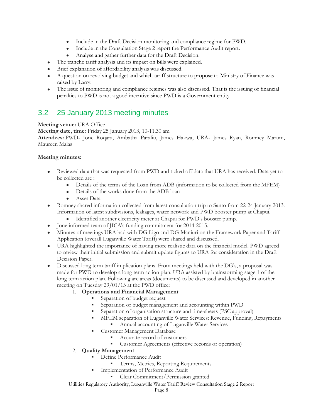- $\bullet$ Include in the Draft Decision monitoring and compliance regime for PWD.
- Include in the Consultation Stage 2 report the Performance Audit report.  $\bullet$
- Analyse and gather further data for the Draft Decision.
- The tranche tariff analysis and its impact on bills were explained.  $\bullet$
- Brief explanation of affordability analysis was discussed.  $\bullet$
- A question on revolving budget and which tariff structure to propose to Ministry of Finance was raised by Larry.
- The issue of monitoring and compliance regimes was also discussed. That is the issuing of financial  $\bullet$ penalties to PWD is not a good incentive since PWD is a Government entity.

### <span id="page-7-0"></span>3.2 25 January 2013 meeting minutes

**Meeting venue:** URA Office

**Meeting date, time:** Friday 25 January 2013, 10-11.30 am

**Attendees:** PWD- Jone Roqara, Ambatha Paraliu, James Hakwa, URA- James Ryan, Romney Marum, Maureen Malas

#### **Meeting minutes:**

- Reviewed data that was requested from PWD and ticked off data that URA has received. Data yet to be collected are :
	- Details of the terms of the Loan from ADB (information to be collected from the MFEM)
	- $\bullet$ Details of the works done from the ADB loan
	- $\bullet$ Asset Data
- Romney shared information collected from latest consultation trip to Santo from 22-24 January 2013.  $\bullet$ Information of latest subdivisions, leakages, water network and PWD booster pump at Chapui.
	- Identified another electricity meter at Chapui for PWD's booster pump.  $\bullet$
- Jone informed team of JICA's funding commitment for 2014-2015.
- Minutes of meetings URA had with DG Ligo and DG Maniuri on the Framework Paper and Tariff Application (overall Luganville Water Tariff) were shared and discussed.
- URA highlighted the importance of having more realistic data on the financial model. PWD agreed to review their initial submission and submit update figures to URA for consideration in the Draft Decision Paper.
- Discussed long term tariff implication plans. From meetings held with the DG's, a proposal was  $\bullet$ made for PWD to develop a long term action plan. URA assisted by brainstorming stage 1 of the long term action plan. Following are areas (documents) to be discussed and developed in another meeting on Tuesday 29/01/13 at the PWD office:

#### 1. **Operations and Financial Management**

- Separation of budget request
- Separation of budget management and accounting within PWD
- Separation of organisation structure and time-sheets (PSC approval)
- MFEM separation of Luganville Water Services: Revenue, Funding, Repayments
	- **Annual accounting of Luganville Water Services**
- **Customer Management Database** 
	- Accurate record of customers
	- Customer Agreements (effective records of operation)

### 2. **Quality Management**

- Define Performance Audit
	- **Terms, Metrics, Reporting Requirements**
- Implementation of Performance Audit
	- Clear Commitment/Permission granted

Utilities Regulatory Authority, Luganville Water Tariff Review Consultation Stage 2 Report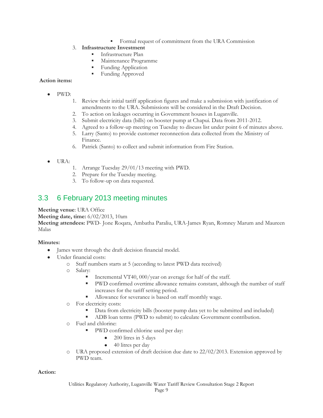Formal request of commitment from the URA Commission

#### 3. **Infrastructure Investment**

- **Infrastructure Plan**
- **Maintenance Programme**
- **Funding Application**
- **Funding Approved**

#### **Action items:**

- PWD:  $\bullet$ 
	- 1. Review their initial tariff application figures and make a submission with justification of amendments to the URA. Submissions will be considered in the Draft Decision.
	- 2. To action on leakages occurring in Government houses in Luganville.
	- 3. Submit electricity data (bills) on booster pump at Chapui. Data from 2011-2012.
	- 4. Agreed to a follow-up meeting on Tuesday to discuss list under point 6 of minutes above.
	- 5. Larry (Santo) to provide customer reconnection data collected from the Ministry of Finance.
	- 6. Patrick (Santo) to collect and submit information from Fire Station.
- URA:  $\bullet$ 
	- 1. Arrange Tuesday 29/01/13 meeting with PWD.
	- 2. Prepare for the Tuesday meeting.
	- 3. To follow-up on data requested.

### <span id="page-8-0"></span>3.3 6 February 2013 meeting minutes

**Meeting venue**: URA Office

**Meeting date, time:** 6/02/2013, 10am

**Meeting attendees:** PWD- Jone Roqara, Ambatha Paraliu, URA-James Ryan, Romney Marum and Maureen Malas

#### **Minutes:**

- James went through the draft decision financial model.  $\bullet$
- Under financial costs:
	- o Staff numbers starts at 5 (according to latest PWD data received)
	- o Salary:
		- Incremental VT40, 000/year on average for half of the staff.
		- PWD confirmed overtime allowance remains constant, although the number of staff increases for the tariff setting period.
		- Allowance for severance is based on staff monthly wage.
	- o For electricity costs:
		- Data from electricity bills (booster pump data yet to be submitted and included)
		- ADB loan terms (PWD to submit) to calculate Government contribution.
	- o Fuel and chlorine:
		- PWD confirmed chlorine used per day:
			- $\bullet$ 200 litres in 5 days
			- 40 litres per day  $\bullet$
	- o URA proposed extension of draft decision due date to 22/02/2013. Extension approved by PWD team.

#### **Action:**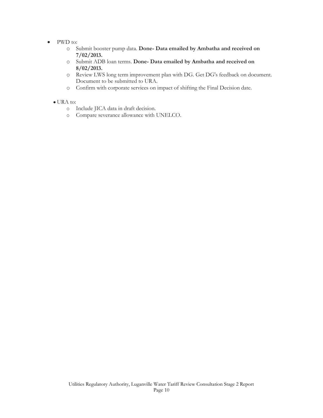- PWD to:  $\bullet$ 
	- o Submit booster pump data. **Done- Data emailed by Ambatha and received on 7/02/2013.**
	- o Submit ADB loan terms. **Done- Data emailed by Ambatha and received on 8/02/2013.**
	- o Review LWS long term improvement plan with DG. Get DG's feedback on document. Document to be submitted to URA.
	- o Confirm with corporate services on impact of shifting the Final Decision date.

#### URA to:

- o Include JICA data in draft decision.
- o Compare severance allowance with UNELCO.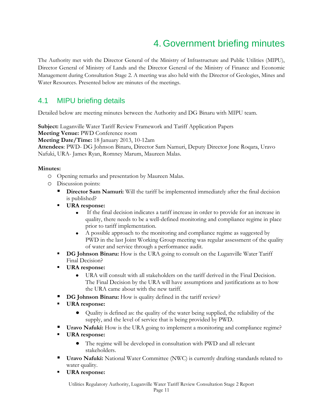## 4. Government briefing minutes

<span id="page-10-0"></span>The Authority met with the Director General of the Ministry of Infrastructure and Public Utilities (MIPU), Director General of Ministry of Lands and the Director General of the Ministry of Finance and Economic Management during Consultation Stage 2. A meeting was also held with the Director of Geologies, Mines and Water Resources. Presented below are minutes of the meetings.

### <span id="page-10-1"></span>4.1 MIPU briefing details

Detailed below are meeting minutes between the Authority and DG Binaru with MIPU team.

**Subject:** Luganville Water Tariff Review Framework and Tariff Application Papers

**Meeting Venue:** PWD Conference room

**Meeting Date/Time:** 18 January 2013, 10-12am

**Attendees**: PWD- DG Johnson Binaru, Director Sam Namuri, Deputy Director Jone Roqara, Uravo Nafuki, URA- James Ryan, Romney Marum, Maureen Malas.

### **Minutes:**

- o Opening remarks and presentation by Maureen Malas.
- o Discussion points:
	- **Director Sam Namuri:** Will the tariff be implemented immediately after the final decision is published?
	- **URA response:**
		- If the final decision indicates a tariff increase in order to provide for an increase in quality, there needs to be a well-defined monitoring and compliance regime in place prior to tariff implementation.
		- A possible approach to the monitoring and compliance regime as suggested by  $\bullet$ PWD in the last Joint Working Group meeting was regular assessment of the quality of water and service through a performance audit.
	- **DG Johnson Binaru:** How is the URA going to consult on the Luganville Water Tariff Final Decision?
	- **URA response:**
		- $\bullet$ URA will consult with all stakeholders on the tariff derived in the Final Decision. The Final Decision by the URA will have assumptions and justifications as to how the URA came about with the new tariff.
	- **DG Johnson Binaru:** How is quality defined in the tariff review?
	- **URA response:**
		- Quality is defined as: the quality of the water being supplied, the reliability of the supply, and the level of service that is being provided by PWD.
	- **Uravo Nafuki:** How is the URA going to implement a monitoring and compliance regime?
	- **URA response:**
		- $\bullet$ The regime will be developed in consultation with PWD and all relevant stakeholders.
	- **Uravo Nafuki:** National Water Committee (NWC) is currently drafting standards related to water quality.
	- **URA response:**

Utilities Regulatory Authority, Luganville Water Tariff Review Consultation Stage 2 Report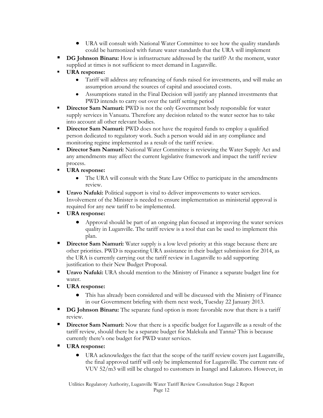- URA will consult with National Water Committee to see how the quality standards could be harmonized with future water standards that the URA will implement
- **DG Johnson Binaru:** How is infrastructure addressed by the tariff? At the moment, water supplied at times is not sufficient to meet demand in Luganville.
- **URA response:**
	- Tariff will address any refinancing of funds raised for investments, and will make an  $\bullet$ assumption around the sources of capital and associated costs.
	- Assumptions stated in the Final Decision will justify any planned investments that PWD intends to carry out over the tariff setting period
- **Director Sam Namuri:** PWD is not the only Government body responsible for water supply services in Vanuatu. Therefore any decision related to the water sector has to take into account all other relevant bodies.
- **Director Sam Namuri:** PWD does not have the required funds to employ a qualified person dedicated to regulatory work. Such a person would aid in any compliance and monitoring regime implemented as a result of the tariff review.
- **Director Sam Namuri:** National Water Committee is reviewing the Water Supply Act and any amendments may affect the current legislative framework and impact the tariff review process.
- **URA response:**
	- The URA will consult with the State Law Office to participate in the amendments review.
- **Uravo Nafuki:** Political support is vital to deliver improvements to water services. Involvement of the Minister is needed to ensure implementation as ministerial approval is required for any new tariff to be implemented.
- **URA response:**
	- Approval should be part of an ongoing plan focused at improving the water services quality in Luganville. The tariff review is a tool that can be used to implement this plan.
- **Director Sam Namuri:** Water supply is a low level priority at this stage because there are other priorities. PWD is requesting URA assistance in their budget submission for 2014, as the URA is currently carrying out the tariff review in Luganville to add supporting justification to their New Budget Proposal.
- **Uravo Nafuki:** URA should mention to the Ministry of Finance a separate budget line for water.
- **URA response:**
	- This has already been considered and will be discussed with the Ministry of Finance in our Government briefing with them next week, Tuesday 22 January 2013.
- **DG Johnson Binaru:** The separate fund option is more favorable now that there is a tariff review.
- **Director Sam Namuri:** Now that there is a specific budget for Luganville as a result of the tariff review, should there be a separate budget for Malekula and Tanna? This is because currently there's one budget for PWD water services.
- **URA response:**
	- URA acknowledges the fact that the scope of the tariff review covers just Luganville,  $\bullet$ the final approved tariff will only be implemented for Luganville. The current rate of VUV 52/m3 will still be charged to customers in Isangel and Lakatoro. However, in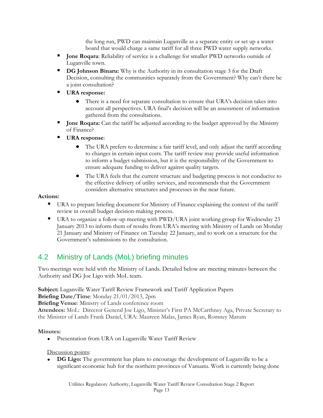the long run, PWD can maintain Luganville as a separate entity or set up a water board that would charge a same tariff for all three PWD water supply networks.

- **Jone Roqara**: Reliability of service is a challenge for smaller PWD networks outside of Luganville town.
- **DG Johnson Binaru:** Why is the Authority in its consultation stage 3 for the Draft Decision, consulting the communities separately from the Government? Why can't there be a joint consultation?
- **URA response:**
	- There is a need for separate consultation to ensure that URA's decision takes into account all perspectives. URA final's decision will be an assessment of information gathered from the consultations.
- **Jone Roqara:** Can the tariff be adjusted according to the budget approved by the Ministry of Finance?
- **URA response**:
	- The URA prefers to determine a fair tariff level, and only adjust the tariff according to changes in certain input costs. The tariff review may provide useful information to inform a budget submission, but it is the responsibility of the Government to ensure adequate funding to deliver against quality targets.
	- The URA feels that the current structure and budgeting process is not conducive to the effective delivery of utility services, and recommends that the Government considers alternative structures and processes in the near future.

#### **Actions:**

- URA to prepare briefing document for Ministry of Finance explaining the context of the tariff review in overall budget decision-making process.
- URA to organize a follow-up meeting with PWD/URA joint working group for Wednesday 23 January 2013 to inform them of results from URA's meeting with Ministry of Lands on Monday 21 January and Ministry of Finance on Tuesday 22 January, and to work on a structure for the Government's submissions to the consultation.

### <span id="page-12-0"></span>4.2 Ministry of Lands (MoL) briefing minutes

Two meetings were held with the Ministry of Lands. Detailed below are meeting minutes between the Authority and DG Joe Ligo with MoL team.

**Subject:** Luganville Water Tariff Review Framework and Tariff Application Papers

**Briefing Date/Time**: Monday 21/01/2013, 2pm

**Briefing Venue**: Ministry of Lands conference room

**Attendees:** MoL: Director General Joe Ligo, Minister's First PA McCarthney Aga, Private Secretary to the Minister of Lands Frank Daniel, URA: Maureen Malas, James Ryan, Romney Marum

#### **Minutes:**

 $\bullet$ Presentation from URA on Luganville Water Tariff Review

#### Discussion points:

• **DG Ligo:** The government has plans to encourage the development of Luganville to be a significant economic hub for the northern provinces of Vanuatu. Work is currently being done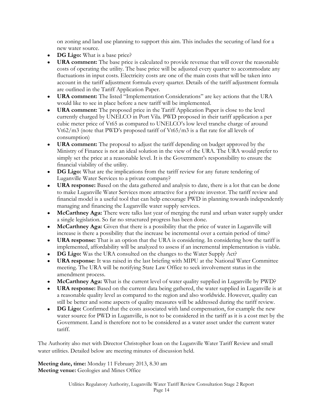on zoning and land use planning to support this aim. This includes the securing of land for a new water source.

- **DG Ligo:** What is a base price?
- **URA comment:** The base price is calculated to provide revenue that will cover the reasonable costs of operating the utility. The base price will be adjusted every quarter to accommodate any fluctuations in input costs. Electricity costs are one of the main costs that will be taken into account in the tariff adjustment formula every quarter. Details of the tariff adjustment formula are outlined in the Tariff Application Paper.
- **URA comment:** The listed "Implementation Considerations" are key actions that the URA would like to see in place before a new tariff will be implemented.
- **URA comment:** The proposed price in the Tariff Application Paper is close to the level  $\bullet$ currently charged by UNELCO in Port Vila. PWD proposed in their tariff application a per cubic meter price of Vt65 as compared to UNELCO's low level tranche charge of around Vt62/m3 (note that PWD's proposed tariff of Vt65/m3 is a flat rate for all levels of consumption)
- **URA comment:** The proposal to adjust the tariff depending on budget approved by the  $\bullet$ Ministry of Finance is not an ideal solution in the view of the URA. The URA would prefer to simply set the price at a reasonable level. It is the Government's responsibility to ensure the financial viability of the utility.
- **DG Ligo:** What are the implications from the tariff review for any future tendering of Luganville Water Services to a private company?
- **URA response:** Based on the data gathered and analysis to date, there is a lot that can be done to make Luganville Water Services more attractive for a private investor. The tariff review and financial model is a useful tool that can help encourage PWD in planning towards independently managing and financing the Luganville water supply services.
- **McCarthney Aga:** There were talks last year of merging the rural and urban water supply under a single legislation. So far no structured progress has been done.
- **McCarthney Aga:** Given that there is a possibility that the price of water in Luganville will increase is there a possibility that the increase be incremental over a certain period of time?
- **URA response:** That is an option that the URA is considering. In considering how the tariff is implemented, affordability will be analyzed to assess if an incremental implementation is viable.
- **DG Ligo:** Was the URA consulted on the changes to the Water Supply Act?
- **URA response**: It was raised in the last briefing with MIPU at the National Water Committee meeting. The URA will be notifying State Law Office to seek involvement status in the amendment process.
- **McCarthney Aga:** What is the current level of water quality supplied in Luganville by PWD?
- **URA response:** Based on the current data being gathered, the water supplied in Luganville is at a reasonable quality level as compared to the region and also worldwide. However, quality can still be better and some aspects of quality measures will be addressed during the tariff review.
- **DG Ligo:** Confirmed that the costs associated with land compensation, for example the new water source for PWD in Luganville, is not to be considered in the tariff as it is a cost met by the Government. Land is therefore not to be considered as a water asset under the current water tariff.

The Authority also met with Director Christopher Ioan on the Luganville Water Tariff Review and small water utilities. Detailed below are meeting minutes of discussion held.

**Meeting date, time:** Monday 11 February 2013, 8.30 am **Meeting venue:** Geologies and Mines Office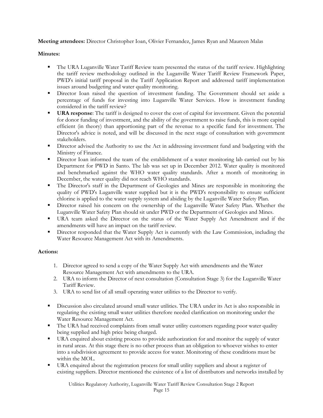**Meeting attendees:** Director Christopher Ioan, Olivier Fernandez, James Ryan and Maureen Malas

#### **Minutes:**

- The URA Luganville Water Tariff Review team presented the status of the tariff review. Highlighting the tariff review methodology outlined in the Luganville Water Tariff Review Framework Paper, PWD's initial tariff proposal in the Tariff Application Report and addressed tariff implementation issues around budgeting and water quality monitoring.
- Director Ioan raised the question of investment funding. The Government should set aside a percentage of funds for investing into Luganville Water Services. How is investment funding considered in the tariff review?
- **URA response**: The tariff is designed to cover the cost of capital for investment. Given the potential for donor funding of investment, and the ability of the government to raise funds, this is more capital efficient (in theory) than apportioning part of the revenue to a specific fund for investment. The Director's advice is noted, and will be discussed in the next stage of consultation with government stakeholders.
- **Director advised the Authority to use the Act in addressing investment fund and budgeting with the** Ministry of Finance.
- Director Ioan informed the team of the establishment of a water monitoring lab carried out by his Department for PWD in Santo. The lab was set up in December 2012. Water quality is monitored and benchmarked against the WHO water quality standards. After a month of monitoring in December, the water quality did not reach WHO standards.
- The Director's staff in the Department of Geologies and Mines are responsible in monitoring the quality of PWD's Luganville water supplied but it is the PWD's responsibility to ensure sufficient chlorine is applied to the water supply system and abiding by the Luganville Water Safety Plan.
- Director raised his concern on the ownership of the Luganville Water Safety Plan. Whether the Luganville Water Safety Plan should sit under PWD or the Department of Geologies and Mines.
- URA team asked the Director on the status of the Water Supply Act Amendment and if the amendments will have an impact on the tariff review.
- Director responded that the Water Supply Act is currently with the Law Commission, including the Water Resource Management Act with its Amendments.

#### **Actions:**

- 1. Director agreed to send a copy of the Water Supply Act with amendments and the Water Resource Management Act with amendments to the URA.
- 2. URA to inform the Director of next consultation (Consultation Stage 3) for the Luganville Water Tariff Review.
- 3. URA to send list of all small operating water utilities to the Director to verify.
- Discussion also circulated around small water utilities. The URA under its Act is also responsible in regulating the existing small water utilities therefore needed clarification on monitoring under the Water Resource Management Act.
- The URA had received complaints from small water utility customers regarding poor water quality being supplied and high price being charged.
- URA enquired about existing process to provide authorization for and monitor the supply of water in rural areas. At this stage there is no other process than an obligation to whoever wishes to enter into a subdivision agreement to provide access for water. Monitoring of these conditions must be within the MOL.
- URA enquired about the registration process for small utility suppliers and about a register of existing suppliers. Director mentioned the existence of a list of distributors and networks installed by

Utilities Regulatory Authority, Luganville Water Tariff Review Consultation Stage 2 Report Page 15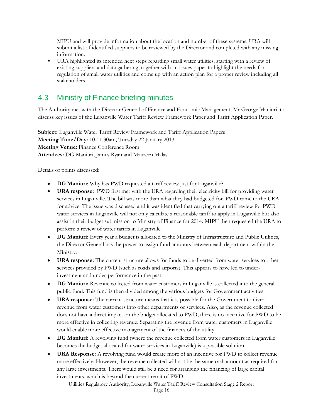MIPU and will provide information about the location and number of these systems. URA will submit a list of identified suppliers to be reviewed by the Director and completed with any missing information.

 URA highlighted its intended next steps regarding small water utilities, starting with a review of existing suppliers and data gathering, together with an issues paper to highlight the needs for regulation of small water utilities and come up with an action plan for a proper review including all stakeholders.

## <span id="page-15-0"></span>4.3 Ministry of Finance briefing minutes

The Authority met with the Director General of Finance and Economic Management, Mr George Maniuri, to discuss key issues of the Luganville Water Tariff Review Framework Paper and Tariff Application Paper.

**Subject:** Luganville Water Tariff Review Framework and Tariff Application Papers **Meeting Time/Day:** 10-11.30am, Tuesday 22 January 2013 **Meeting Venue:** Finance Conference Room **Attendees:** DG Maniuri, James Ryan and Maureen Malas

Details of points discussed:

- **DG Maniuri**: Why has PWD requested a tariff review just for Luganville?
- **URA response:** PWD first met with the URA regarding their electricity bill for providing water services in Luganville. The bill was more than what they had budgeted for. PWD came to the URA for advice. The issue was discussed and it was identified that carrying out a tariff review for PWD water services in Luganville will not only calculate a reasonable tariff to apply in Luganville but also assist in their budget submission to Ministry of Finance for 2014. MIPU then requested the URA to perform a review of water tariffs in Luganville.
- **DG Maniuri:** Every year a budget is allocated to the Ministry of Infrastructure and Public Utilities, the Director General has the power to assign fund amounts between each department within the Ministry.
- **URA response:** The current structure allows for funds to be diverted from water services to other services provided by PWD (such as roads and airports). This appears to have led to underinvestment and under-performance in the past.
- **DG Maniuri:** Revenue collected from water customers in Luganville is collected into the general public fund. This fund is then divided among the various budgets for Government activities.
- **URA response:** The current structure means that it is possible for the Government to divert revenue from water customers into other departments or services. Also, as the revenue collected does not have a direct impact on the budget allocated to PWD, there is no incentive for PWD to be more effective in collecting revenue. Separating the revenue from water customers in Luganville would enable more effective management of the finances of the utility.
- **DG Maniuri:** A revolving fund (where the revenue collected from water customers in Luganville becomes the budget allocated for water services in Luganville) is a possible solution.
- **URA Response:** A revolving fund would create more of an incentive for PWD to collect revenue more effectively. However, the revenue collected will not be the same cash amount as required for any large investments. There would still be a need for arranging the financing of large capital investments, which is beyond the current remit of PWD.

Utilities Regulatory Authority, Luganville Water Tariff Review Consultation Stage 2 Report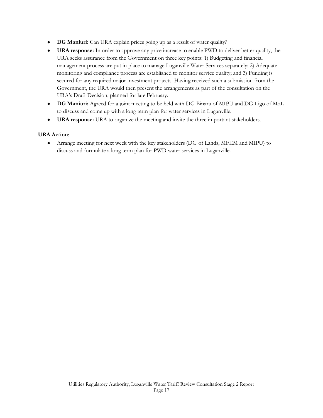- **DG Maniuri:** Can URA explain prices going up as a result of water quality?
- **URA response:** In order to approve any price increase to enable PWD to deliver better quality, the URA seeks assurance from the Government on three key points: 1) Budgeting and financial management process are put in place to manage Luganville Water Services separately; 2) Adequate monitoring and compliance process are established to monitor service quality; and 3) Funding is secured for any required major investment projects. Having received such a submission from the Government, the URA would then present the arrangements as part of the consultation on the URA's Draft Decision, planned for late February.
- **DG Maniuri:** Agreed for a joint meeting to be held with DG Binaru of MIPU and DG Ligo of MoL to discuss and come up with a long term plan for water services in Luganville.
- **URA response:** URA to organize the meeting and invite the three important stakeholders.  $\bullet$  .

#### **URA Action**:

Arrange meeting for next week with the key stakeholders (DG of Lands, MFEM and MIPU) to  $\bullet$ discuss and formulate a long term plan for PWD water services in Luganville.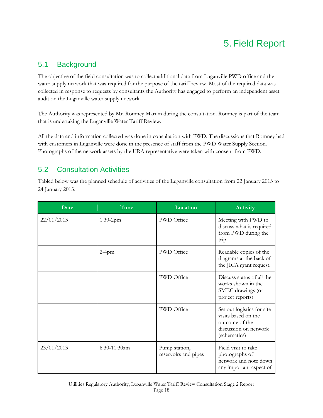## 5. Field Report

## <span id="page-17-1"></span><span id="page-17-0"></span>5.1 Background

The objective of the field consultation was to collect additional data from Luganville PWD office and the water supply network that was required for the purpose of the tariff review. Most of the required data was collected in response to requests by consultants the Authority has engaged to perform an independent asset audit on the Luganville water supply network.

The Authority was represented by Mr. Romney Marum during the consultation. Romney is part of the team that is undertaking the Luganville Water Tariff Review.

All the data and information collected was done in consultation with PWD. The discussions that Romney had with customers in Luganville were done in the presence of staff from the PWD Water Supply Section. Photographs of the network assets by the URA representative were taken with consent from PWD.

### <span id="page-17-2"></span>5.2 Consultation Activities

Tabled below was the planned schedule of activities of the Luganville consultation from 22 January 2013 to 24 January 2013.

| Date       | <b>Time</b>  | Location                              | <b>Activity</b>                                                                                              |
|------------|--------------|---------------------------------------|--------------------------------------------------------------------------------------------------------------|
| 22/01/2013 | $1:30-2pm$   | <b>PWD</b> Office                     | Meeting with PWD to<br>discuss what is required<br>from PWD during the<br>trip.                              |
|            | $2-4$ pm     | PWD Office                            | Readable copies of the<br>diagrams at the back of<br>the JICA grant request.                                 |
|            |              | PWD Office                            | Discuss status of all the<br>works shown in the<br>SMEC drawings (or<br>project reports)                     |
|            |              | PWD Office                            | Set out logistics for site<br>visits based on the<br>outcome of the<br>discussion on network<br>(schematics) |
| 23/01/2013 | 8:30-11:30am | Pump station,<br>reservoirs and pipes | Field visit to take<br>photographs of<br>network and note down<br>any important aspect of                    |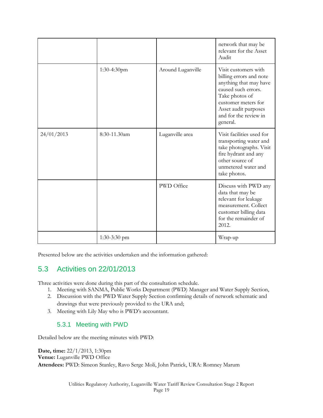|            |                |                   | network that may be<br>relevant for the Asset<br>Audit                                                                                                                                                 |
|------------|----------------|-------------------|--------------------------------------------------------------------------------------------------------------------------------------------------------------------------------------------------------|
|            | 1:30-4:30pm    | Around Luganville | Visit customers with<br>billing errors and note<br>anything that may have<br>caused such errors.<br>Take photos of<br>customer meters for<br>Asset audit purposes<br>and for the review in<br>general. |
| 24/01/2013 | 8:30-11.30am   | Luganville area   | Visit facilities used for<br>transporting water and<br>take photographs. Visit<br>fire hydrant and any<br>other source of<br>unmetered water and<br>take photos.                                       |
|            |                | PWD Office        | Discuss with PWD any<br>data that may be<br>relevant for leakage<br>measurement. Collect<br>customer billing data<br>for the remainder of<br>2012.                                                     |
|            | $1:30-3:30$ pm |                   | Wrap-up                                                                                                                                                                                                |

Presented below are the activities undertaken and the information gathered:

### <span id="page-18-0"></span>5.3 Activities on 22/01/2013

Three activities were done during this part of the consultation schedule.

- 1. Meeting with SANMA, Public Works Department (PWD) Manager and Water Supply Section,
- 2. Discussion with the PWD Water Supply Section confirming details of network schematic and drawings that were previously provided to the URA and;
- <span id="page-18-1"></span>3. Meeting with Lily May who is PWD's accountant.

### 5.3.1 Meeting with PWD

Detailed below are the meeting minutes with PWD:

**Date, time:** 22/1/2013, 1:30pm **Venue:** Luganville PWD Office **Attendees:** PWD: Simeon Stanley, Ravo Serge Moli, John Patrick, URA: Romney Marum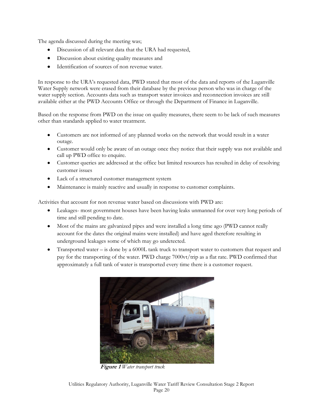The agenda discussed during the meeting was;

- Discussion of all relevant data that the URA had requested,
- Discussion about existing quality measures and
- Identification of sources of non revenue water.

In response to the URA's requested data, PWD stated that most of the data and reports of the Luganville Water Supply network were erased from their database by the previous person who was in charge of the water supply section. Accounts data such as transport water invoices and reconnection invoices are still available either at the PWD Accounts Office or through the Department of Finance in Luganville.

Based on the response from PWD on the issue on quality measures, there seem to be lack of such measures other than standards applied to water treatment.

- Customers are not informed of any planned works on the network that would result in a water outage.
- Customer would only be aware of an outage once they notice that their supply was not available and call up PWD office to enquire.
- Customer queries are addressed at the office but limited resources has resulted in delay of resolving customer issues
- Lack of a structured customer management system
- Maintenance is mainly reactive and usually in response to customer complaints.

Activities that account for non revenue water based on discussions with PWD are:

- Leakages- most government houses have been having leaks unmanned for over very long periods of  $\bullet$ time and still pending to date.
- Most of the mains are galvanized pipes and were installed a long time ago (PWD cannot really account for the dates the original mains were installed) and have aged therefore resulting in underground leakages some of which may go undetected.
- Transported water is done by a 6000L tank truck to transport water to customers that request and pay for the transporting of the water. PWD charge 7000vt/trip as a flat rate. PWD confirmed that approximately a full tank of water is transported every time there is a customer request.



**Figure 1** *Water transport truck*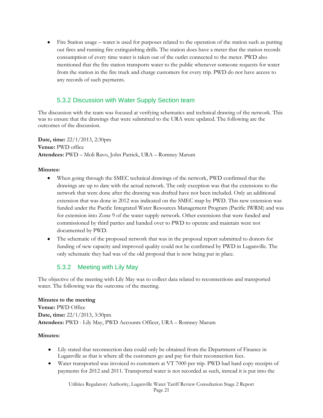Fire Station usage – water is used for purposes related to the operation of the station such as putting out fires and running fire extinguishing drills. The station does have a meter that the station records consumption of every time water is taken out of the outlet connected to the meter. PWD also mentioned that the fire station transports water to the public whenever someone requests for water from the station in the fire truck and charge customers for every trip. PWD do not have access to any records of such payments.

### 5.3.2 Discussion with Water Supply Section team

<span id="page-20-0"></span>The discussion with the team was focused at verifying schematics and technical drawing of the network. This was to ensure that the drawings that were submitted to the URA were updated. The following are the outcomes of the discussion.

**Date, time:** 22/1/2013, 2:30pm **Venue:** PWD office **Attendees:** PWD – Moli Ravo, John Patrick, URA – Romney Marum

#### **Minutes:**

- When going through the SMEC technical drawings of the network, PWD confirmed that the  $\bullet$ drawings are up to date with the actual network. The only exception was that the extensions to the network that were done after the drawing was drafted have not been included. Only an additional extension that was done in 2012 was indicated on the SMEC map by PWD. This new extension was funded under the Pacific Integrated Water Resources Management Program (Pacific IWRM) and was for extension into Zone 9 of the water supply network. Other extensions that were funded and commissioned by third parties and handed over to PWD to operate and maintain were not documented by PWD.
- The schematic of the proposed network that was in the proposal report submitted to donors for  $\bullet$ funding of new capacity and improved quality could not be confirmed by PWD in Luganville. The only schematic they had was of the old proposal that is now being put in place.

### <span id="page-20-1"></span>5.3.2 Meeting with Lily May

The objective of the meeting with Lily May was to collect data related to reconnections and transported water. The following was the outcome of the meeting.

#### **Minutes to the meeting**

**Venue:** PWD Office **Date, time:** 22/1/2013, 3:30pm **Attendees:** PWD - Lily May, PWD Accounts Officer, URA – Romney Marum

#### **Minutes:**

- Lily stated that reconnection data could only be obtained from the Department of Finance in Luganville as that is where all the customers go and pay for their reconnection fees.
- Water transported was invoiced to customers at VT 7000 per trip. PWD had hard copy receipts of payments for 2012 and 2011. Transported water is not recorded as such, instead it is put into the

Utilities Regulatory Authority, Luganville Water Tariff Review Consultation Stage 2 Report Page 21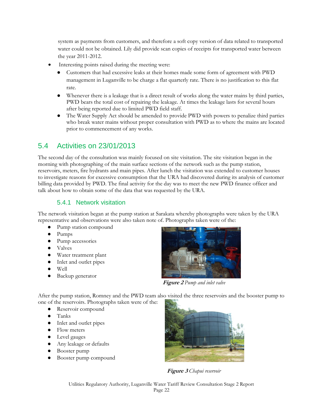system as payments from customers, and therefore a soft copy version of data related to transported water could not be obtained. Lily did provide scan copies of receipts for transported water between the year 2011-2012.

- Interesting points raised during the meeting were:
	- Customers that had excessive leaks at their homes made some form of agreement with PWD management in Luganville to be charge a flat quarterly rate. There is no justification to this flat rate.
	- Whenever there is a leakage that is a direct result of works along the water mains by third parties, PWD bears the total cost of repairing the leakage. At times the leakage lasts for several hours after being reported due to limited PWD field staff.
	- The Water Supply Act should be amended to provide PWD with powers to penalize third parties who break water mains without proper consultation with PWD as to where the mains are located prior to commencement of any works.

### <span id="page-21-0"></span>5.4 Activities on 23/01/2013

The second day of the consultation was mainly focused on site visitation. The site visitation began in the morning with photographing of the main surface sections of the network such as the pump station, reservoirs, meters, fire hydrants and main pipes. After lunch the visitation was extended to customer houses to investigate reasons for excessive consumption that the URA had discovered during its analysis of customer billing data provided by PWD. The final activity for the day was to meet the new PWD finance officer and talk about how to obtain some of the data that was requested by the URA.

### 5.4.1 Network visitation

<span id="page-21-1"></span>The network visitation began at the pump station at Sarakata whereby photographs were taken by the URA representative and observations were also taken note of. Photographs taken were of the:

- Pump station compound
- Pumps
- Pump accessories
- Valves
- Water treatment plant
- Inlet and outlet pipes
- Well
- Backup generator



**Figure 2** *Pump and inlet valve*

After the pump station, Romney and the PWD team also visited the three reservoirs and the booster pump to one of the reservoirs. Photographs taken were of the:

- Reservoir compound
- Tanks
- Inlet and outlet pipes
- Flow meters
- Level gauges
- Any leakage or defaults
- Booster pump
- Booster pump compound



**Figure 3** *Chapui reservoir*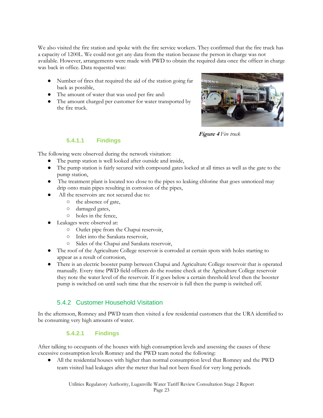We also visited the fire station and spoke with the fire service workers. They confirmed that the fire truck has a capacity of 1200L. We could not get any data from the station because the person in charge was not available. However, arrangements were made with PWD to obtain the required data once the officer in charge was back in office. Data requested was:

- Number of fires that required the aid of the station going far back as possible,
- The amount of water that was used per fire and:
- The amount charged per customer for water transported by the fire truck.



 **Figure 4** *Fire truck* 

### **5.4.1.1 Findings**

The following were observed during the network visitation:

- The pump station is well looked after outside and inside,
- The pump station is fairly secured with compound gates locked at all times as well as the gate to the pump station,
- The treatment plant is located too close to the pipes so leaking chlorine that goes unnoticed may drip onto main pipes resulting in corrosion of the pipes,
- All the reservoirs are not secured due to:
	- the absence of gate,
	- damaged gates,
	- holes in the fence,
- Leakages were observed at:
	- Outlet pipe from the Chapui reservoir,
	- Inlet into the Sarakata reservoir,
	- Sides of the Chapui and Sarakata reservoir,
- The roof of the Agriculture College reservoir is corroded at certain spots with holes starting to appear as a result of corrosion,
- There is an electric booster pump between Chapui and Agriculture College reservoir that is operated manually. Every time PWD field officers do the routine check at the Agriculture College reservoir they note the water level of the reservoir. If it goes below a certain threshold level then the booster pump is switched on until such time that the reservoir is full then the pump is switched off.

### 5.4.2 Customer Household Visitation

<span id="page-22-0"></span>In the afternoon, Romney and PWD team then visited a few residential customers that the URA identified to be consuming very high amounts of water.

### **5.4.2.1 Findings**

After talking to occupants of the houses with high consumption levels and assessing the causes of these excessive consumption levels Romney and the PWD team noted the following:

● All the residential houses with higher than normal consumption level that Romney and the PWD team visited had leakages after the meter that had not been fixed for very long periods.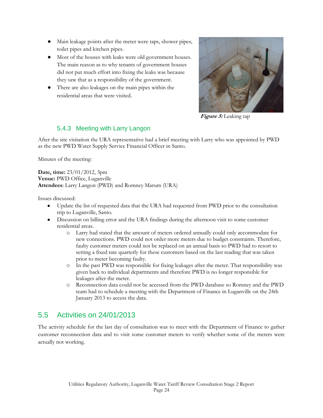- Main leakage points after the meter were taps, shower pipes, toilet pipes and kitchen pipes.
- Most of the houses with leaks were old government houses. The main reason as to why tenants of government houses did not put much effort into fixing the leaks was because they saw that as a responsibility of the government.
- There are also leakages on the main pipes within the residential areas that were visited.



*Figure 5:* Leaking tap

### 5.4.3 Meeting with Larry Langon

<span id="page-23-0"></span>After the site visitation the URA representative had a brief meeting with Larry who was appointed by PWD as the new PWD Water Supply Service Financial Officer in Santo.

Minutes of the meeting:

**Date, time:** 23/01/2012, 3pm **Venue:** PWD Office, Luganville **Attendees**: Larry Langon (PWD) and Romney Marum (URA)

Issues discussed:

- Update the list of requested data that the URA had requested from PWD prior to the consultation trip to Luganville, Santo.
- Discussion on billing error and the URA findings during the afternoon visit to some customer residential areas.
	- o Larry had stated that the amount of meters ordered annually could only accommodate for new connections. PWD could not order more meters due to budget constraints. Therefore, faulty customer meters could not be replaced on an annual basis so PWD had to resort to setting a fixed rate quarterly for these customers based on the last reading that was taken prior to meter becoming faulty.
	- o In the past PWD was responsible for fixing leakages after the meter. That responsibility was given back to individual departments and therefore PWD is no longer responsible for leakages after the meter.
	- o Reconnection data could not be accessed from the PWD database so Romney and the PWD team had to schedule a meeting with the Department of Finance in Luganville on the 24th January 2013 to access the data.

### <span id="page-23-1"></span>5.5 Activities on 24/01/2013

The activity schedule for the last day of consultation was to meet with the Department of Finance to gather customer reconnection data and to visit some customer meters to verify whether some of the meters were actually not working.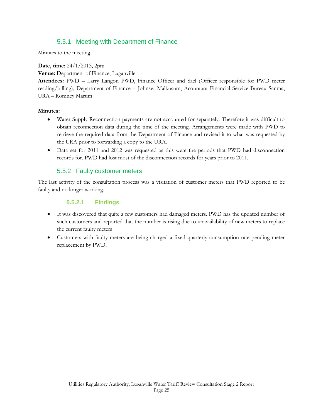### 5.5.1 Meeting with Department of Finance

<span id="page-24-0"></span>Minutes to the meeting

### **Date, time:** 24/1/2013, 2pm

**Venue:** Department of Finance, Luganville

**Attendees:** PWD – Larry Langon PWD, Finance Officer and Sael (Officer responsible for PWD meter reading/billing), Department of Finance – Johnset Malkusum, Acountant Financial Service Bureau Sanma, URA – Romney Marum

### **Minutes:**

- Water Supply Reconnection payments are not accounted for separately. Therefore it was difficult to  $\bullet$ obtain reconnection data during the time of the meeting. Arrangements were made with PWD to retrieve the required data from the Department of Finance and revised it to what was requested by the URA prior to forwarding a copy to the URA.
- Data set for 2011 and 2012 was requested as this were the periods that PWD had disconnection records for. PWD had lost most of the disconnection records for years prior to 2011.

### 5.5.2 Faulty customer meters

<span id="page-24-1"></span>The last activity of the consultation process was a visitation of customer meters that PWD reported to be faulty and no longer working.

### **5.5.2.1 Findings**

- It was discovered that quite a few customers had damaged meters. PWD has the updated number of such customers and reported that the number is rising due to unavailability of new meters to replace the current faulty meters
- Customers with faulty meters are being charged a fixed quarterly consumption rate pending meter replacement by PWD.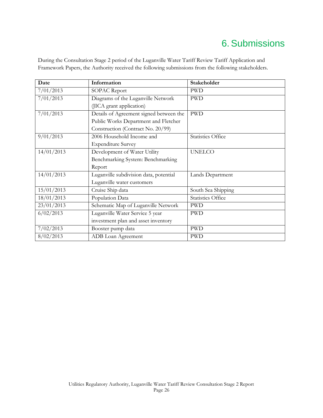## 6.Submissions

<span id="page-25-0"></span>During the Consultation Stage 2 period of the Luganville Water Tariff Review Tariff Application and Framework Papers, the Authority received the following submissions from the following stakeholders.

| Date       | Information                             | Stakeholder              |
|------------|-----------------------------------------|--------------------------|
| 7/01/2013  | <b>SOPAC Report</b>                     | <b>PWD</b>               |
| 7/01/2013  | Diagrams of the Luganville Network      | <b>PWD</b>               |
|            | (JICA grant application)                |                          |
| 7/01/2013  | Details of Agreement signed between the | <b>PWD</b>               |
|            | Public Works Department and Fletcher    |                          |
|            | Construction (Contract No. 20/99)       |                          |
| 9/01/2013  | 2006 Household Income and               | <b>Statistics Office</b> |
|            | <b>Expenditure Survey</b>               |                          |
| 14/01/2013 | Development of Water Utility            | <b>UNELCO</b>            |
|            | Benchmarking System: Benchmarking       |                          |
|            | Report                                  |                          |
| 14/01/2013 | Luganville subdivision data, potential  | Lands Department         |
|            | Luganville water customers              |                          |
| 15/01/2013 | Cruise Ship data                        | South Sea Shipping       |
| 18/01/2013 | Population Data                         | <b>Statistics Office</b> |
| 23/01/2013 | Schematic Map of Luganville Network     | <b>PWD</b>               |
| 6/02/2013  | Luganville Water Service 5 year         | <b>PWD</b>               |
|            | investment plan and asset inventory     |                          |
| 7/02/2013  | Booster pump data                       | <b>PWD</b>               |
| 8/02/2013  | ADB Loan Agreement                      | <b>PWD</b>               |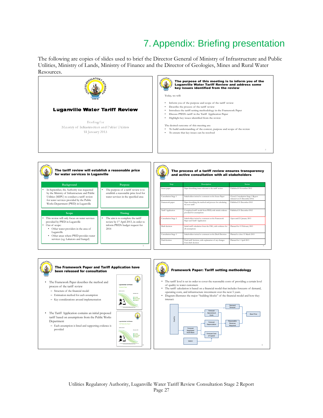## 7.Appendix: Briefing presentation

<span id="page-26-0"></span>The following are copies of slides used to brief the Director General of Ministry of Infrastructure and Public Utilities, Ministry of Lands, Ministry of Finance and the Director of Geologies, Mines and Rural Water Resources.





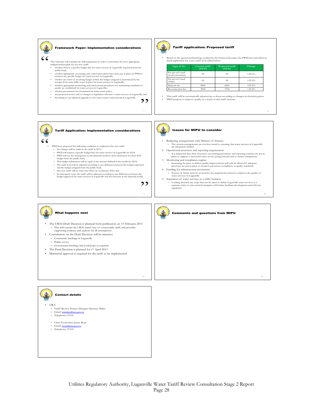

#### Framework Paper: Implementation considerations

The Authority will consider the following points in order to determine the most appropriate The Authority will consider the following points in order to determine the most appropriate<br>
implementation plan for any new tariff:<br>  $\cdot$  whether there is a specific budget line for water services in Luganville requested

- 
- whether appropriate accounting and control procedures have been put in place by PWD to monitor any specific budget for water services in Luganville; • whether appropriate accounting and control procedures have been put in place by PWD<br>monitor any specific budget for water services in Luganville;<br>• whether any form of revolving budget (where the budget assigned is deter
- 
- whether any sporms used to water seavores in Lagarume,<br>• whether any form of revolving budget (where the budget assigned is determined by the<br>receipts from water bills) is put in place for water services in Lugaruille;<br>• whether appropriate monitoring and enforcement procedures for maintaining standards of quality are established for water services in Luganville;
- 
- whether government has formulated an urban water policy; any proposed review and/or changes to legislation relevant to water services in Luganville; and
- whether government has formulated an urban water policy;<br>• any proposed review and/ or changes to legislation relevant to water services in Luganville.<br>• the timing of any planned upgrades to the water sources and networ "7



#### Tariff application: Proposed tariff

• Based on the agreed methodology outlined in the Framework paper, the PWD have provided an Based on the agreed methodology outlined in the Fr<br>initial application for a new tariff level tabled below:

| Type of fee                          | <b>Current tariff</b><br>$(VUV)$ . | Proposed tariff<br>(VUV) | Change   |
|--------------------------------------|------------------------------------|--------------------------|----------|
| Fee per m3 used<br>(local customers) | 52                                 | 65                       | $+25.2%$ |
| Fee per m3 used<br>(ships)           | 65                                 | 81                       | $+25.2%$ |
| Deposit fee                          | 5000                               | 6261                     | $+25.2%$ |
| Reconnection fee                     | 3000                               | 3756                     | $+25.2%$ |

• This tariff will be automatically adjusted up or down according to changes in electricity prices<br>• PWD propose to improve quality as a result of this tariff increase<br>• PWD propose to improve quality as a result of this t

8

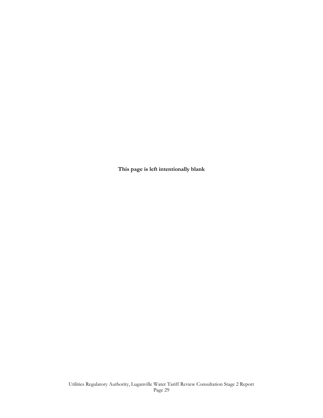**This page is left intentionally blank**